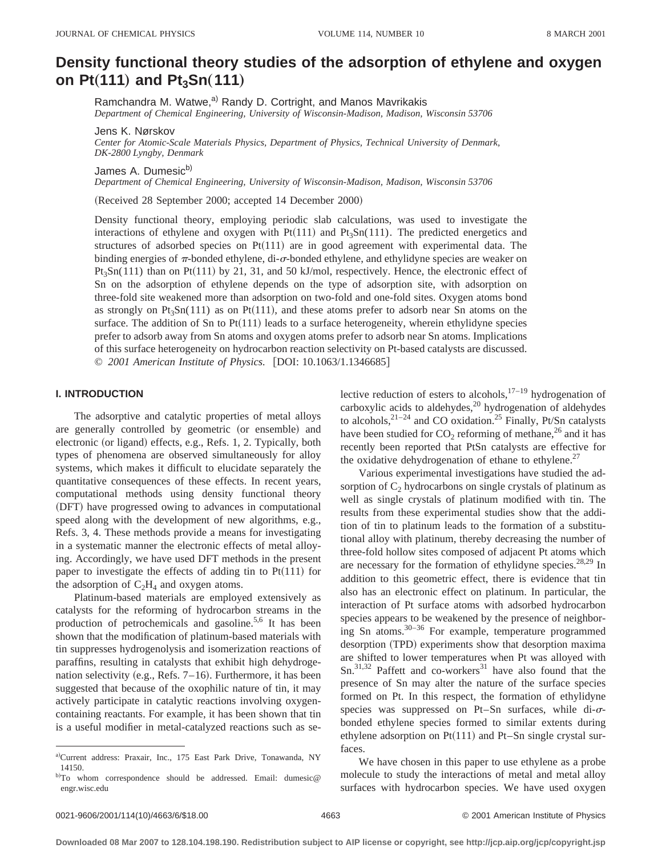# **Density functional theory studies of the adsorption of ethylene and oxygen on Pt** $(111)$  and Pt<sub>3</sub>Sn $(111)$

Ramchandra M. Watwe,<sup>a)</sup> Randy D. Cortright, and Manos Mavrikakis *Department of Chemical Engineering, University of Wisconsin-Madison, Madison, Wisconsin 53706*

Jens K. Nørskov

*Center for Atomic-Scale Materials Physics, Department of Physics, Technical University of Denmark, DK-2800 Lyngby, Denmark*

James A. Dumesic<sup>b)</sup>

*Department of Chemical Engineering, University of Wisconsin-Madison, Madison, Wisconsin 53706*

(Received 28 September 2000; accepted 14 December 2000)

Density functional theory, employing periodic slab calculations, was used to investigate the interactions of ethylene and oxygen with  $Pt(111)$  and  $Pt<sub>3</sub>Sn(111)$ . The predicted energetics and structures of adsorbed species on  $Pt(111)$  are in good agreement with experimental data. The binding energies of  $\pi$ -bonded ethylene, di- $\sigma$ -bonded ethylene, and ethylidyne species are weaker on  $Pt<sub>3</sub>Sn(111)$  than on  $Pt(111)$  by 21, 31, and 50 kJ/mol, respectively. Hence, the electronic effect of Sn on the adsorption of ethylene depends on the type of adsorption site, with adsorption on three-fold site weakened more than adsorption on two-fold and one-fold sites. Oxygen atoms bond as strongly on Pt<sub>3</sub>Sn(111) as on Pt(111), and these atoms prefer to adsorb near Sn atoms on the surface. The addition of Sn to  $Pt(111)$  leads to a surface heterogeneity, wherein ethylidyne species prefer to adsorb away from Sn atoms and oxygen atoms prefer to adsorb near Sn atoms. Implications of this surface heterogeneity on hydrocarbon reaction selectivity on Pt-based catalysts are discussed. © 2001 American Institute of Physics. [DOI: 10.1063/1.1346685]

#### **I. INTRODUCTION**

The adsorptive and catalytic properties of metal alloys are generally controlled by geometric (or ensemble) and electronic (or ligand) effects, e.g., Refs. 1, 2. Typically, both types of phenomena are observed simultaneously for alloy systems, which makes it difficult to elucidate separately the quantitative consequences of these effects. In recent years, computational methods using density functional theory (DFT) have progressed owing to advances in computational speed along with the development of new algorithms, e.g., Refs. 3, 4. These methods provide a means for investigating in a systematic manner the electronic effects of metal alloying. Accordingly, we have used DFT methods in the present paper to investigate the effects of adding tin to  $Pt(111)$  for the adsorption of  $C_2H_4$  and oxygen atoms.

Platinum-based materials are employed extensively as catalysts for the reforming of hydrocarbon streams in the production of petrochemicals and gasoline.<sup>5,6</sup> It has been shown that the modification of platinum-based materials with tin suppresses hydrogenolysis and isomerization reactions of paraffins, resulting in catalysts that exhibit high dehydrogenation selectivity (e.g., Refs.  $7-16$ ). Furthermore, it has been suggested that because of the oxophilic nature of tin, it may actively participate in catalytic reactions involving oxygencontaining reactants. For example, it has been shown that tin is a useful modifier in metal-catalyzed reactions such as selective reduction of esters to alcohols, $17-19$  hydrogenation of carboxylic acids to aldehydes, $^{20}$  hydrogenation of aldehydes to alcohols,  $2^{1-24}$  and CO oxidation.<sup>25</sup> Finally, Pt/Sn catalysts have been studied for  $CO_2$  reforming of methane,<sup>26</sup> and it has recently been reported that PtSn catalysts are effective for the oxidative dehydrogenation of ethane to ethylene.<sup>27</sup>

Various experimental investigations have studied the adsorption of  $C_2$  hydrocarbons on single crystals of platinum as well as single crystals of platinum modified with tin. The results from these experimental studies show that the addition of tin to platinum leads to the formation of a substitutional alloy with platinum, thereby decreasing the number of three-fold hollow sites composed of adjacent Pt atoms which are necessary for the formation of ethylidyne species. $28,29$  In addition to this geometric effect, there is evidence that tin also has an electronic effect on platinum. In particular, the interaction of Pt surface atoms with adsorbed hydrocarbon species appears to be weakened by the presence of neighboring Sn atoms.30–36 For example, temperature programmed desorption (TPD) experiments show that desorption maxima are shifted to lower temperatures when Pt was alloyed with  $Sn.^{31,32}$  Paffett and co-workers<sup>31</sup> have also found that the presence of Sn may alter the nature of the surface species formed on Pt. In this respect, the formation of ethylidyne species was suppressed on Pt–Sn surfaces, while  $di- $\sigma$$ bonded ethylene species formed to similar extents during ethylene adsorption on  $Pt(111)$  and  $Pt-Sn$  single crystal surfaces.

We have chosen in this paper to use ethylene as a probe molecule to study the interactions of metal and metal alloy surfaces with hydrocarbon species. We have used oxygen

a)Current address: Praxair, Inc., 175 East Park Drive, Tonawanda, NY 14150.

b)To whom correspondence should be addressed. Email: dumesic@ engr.wisc.edu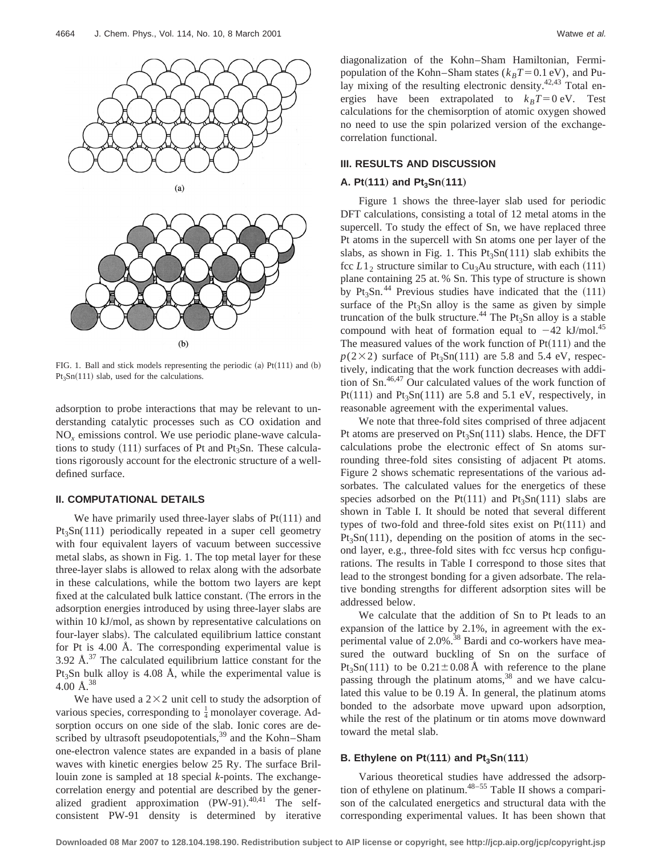

FIG. 1. Ball and stick models representing the periodic (a)  $Pt(111)$  and (b)  $Pt<sub>3</sub>Sn(111)$  slab, used for the calculations.

adsorption to probe interactions that may be relevant to understanding catalytic processes such as CO oxidation and NO*<sup>x</sup>* emissions control. We use periodic plane-wave calculations to study  $(111)$  surfaces of Pt and Pt<sub>3</sub>Sn. These calculations rigorously account for the electronic structure of a welldefined surface.

#### **II. COMPUTATIONAL DETAILS**

We have primarily used three-layer slabs of  $Pt(111)$  and  $Pt<sub>3</sub>Sn(111)$  periodically repeated in a super cell geometry with four equivalent layers of vacuum between successive metal slabs, as shown in Fig. 1. The top metal layer for these three-layer slabs is allowed to relax along with the adsorbate in these calculations, while the bottom two layers are kept fixed at the calculated bulk lattice constant. (The errors in the adsorption energies introduced by using three-layer slabs are within 10 kJ/mol, as shown by representative calculations on four-layer slabs). The calculated equilibrium lattice constant for Pt is 4.00 Å. The corresponding experimental value is 3.92 Å. $^{37}$  The calculated equilibrium lattice constant for the  $Pt_3Sn$  bulk alloy is 4.08 Å, while the experimental value is 4.00 $\AA$ <sup>38</sup>

We have used a  $2\times2$  unit cell to study the adsorption of various species, corresponding to  $\frac{1}{4}$  monolayer coverage. Adsorption occurs on one side of the slab. Ionic cores are described by ultrasoft pseudopotentials, $39$  and the Kohn–Sham one-electron valence states are expanded in a basis of plane waves with kinetic energies below 25 Ry. The surface Brillouin zone is sampled at 18 special *k*-points. The exchangecorrelation energy and potential are described by the generalized gradient approximation  $(PW-91).^{40,41}$  The selfconsistent PW-91 density is determined by iterative diagonalization of the Kohn–Sham Hamiltonian, Fermipopulation of the Kohn–Sham states ( $k_B T = 0.1$  eV), and Pulay mixing of the resulting electronic density. $42,43$  Total energies have been extrapolated to  $k_B T = 0$  eV. Test calculations for the chemisorption of atomic oxygen showed no need to use the spin polarized version of the exchangecorrelation functional.

### **III. RESULTS AND DISCUSSION**

#### **A. Pt** $(111)$  and Pt<sub>3</sub>Sn $(111)$

Figure 1 shows the three-layer slab used for periodic DFT calculations, consisting a total of 12 metal atoms in the supercell. To study the effect of Sn, we have replaced three Pt atoms in the supercell with Sn atoms one per layer of the slabs, as shown in Fig. 1. This  $Pt_3Sn(111)$  slab exhibits the fcc  $L1_2$  structure similar to Cu<sub>3</sub>Au structure, with each (111) plane containing 25 at. % Sn. This type of structure is shown by Pt<sub>3</sub>Sn.<sup>44</sup> Previous studies have indicated that the  $(111)$ surface of the  $Pt<sub>3</sub>Sn$  alloy is the same as given by simple truncation of the bulk structure.<sup>44</sup> The Pt<sub>3</sub>Sn alloy is a stable compound with heat of formation equal to  $-42$  kJ/mol.<sup>45</sup> The measured values of the work function of  $Pt(111)$  and the  $p(2\times2)$  surface of Pt<sub>3</sub>Sn(111) are 5.8 and 5.4 eV, respectively, indicating that the work function decreases with addition of Sn.46,47 Our calculated values of the work function of Pt $(111)$  and Pt<sub>3</sub>Sn(111) are 5.8 and 5.1 eV, respectively, in reasonable agreement with the experimental values.

We note that three-fold sites comprised of three adjacent Pt atoms are preserved on Pt<sub>3</sub>Sn(111) slabs. Hence, the DFT calculations probe the electronic effect of Sn atoms surrounding three-fold sites consisting of adjacent Pt atoms. Figure 2 shows schematic representations of the various adsorbates. The calculated values for the energetics of these species adsorbed on the Pt(111) and Pt<sub>3</sub>Sn(111) slabs are shown in Table I. It should be noted that several different types of two-fold and three-fold sites exist on  $Pt(111)$  and  $Pt<sub>3</sub>Sn(111)$ , depending on the position of atoms in the second layer, e.g., three-fold sites with fcc versus hcp configurations. The results in Table I correspond to those sites that lead to the strongest bonding for a given adsorbate. The relative bonding strengths for different adsorption sites will be addressed below.

We calculate that the addition of Sn to Pt leads to an expansion of the lattice by 2.1%, in agreement with the experimental value of 2.0%.<sup>38</sup> Bardi and co-workers have measured the outward buckling of Sn on the surface of Pt<sub>3</sub>Sn(111) to be  $0.21 \pm 0.08$  Å with reference to the plane passing through the platinum atoms, $38$  and we have calculated this value to be 0.19 Å. In general, the platinum atoms bonded to the adsorbate move upward upon adsorption, while the rest of the platinum or tin atoms move downward toward the metal slab.

#### **B. Ethylene on Pt** $(111)$  and Pt<sub>3</sub>Sn $(111)$

Various theoretical studies have addressed the adsorption of ethylene on platinum.<sup>48–55</sup> Table II shows a comparison of the calculated energetics and structural data with the corresponding experimental values. It has been shown that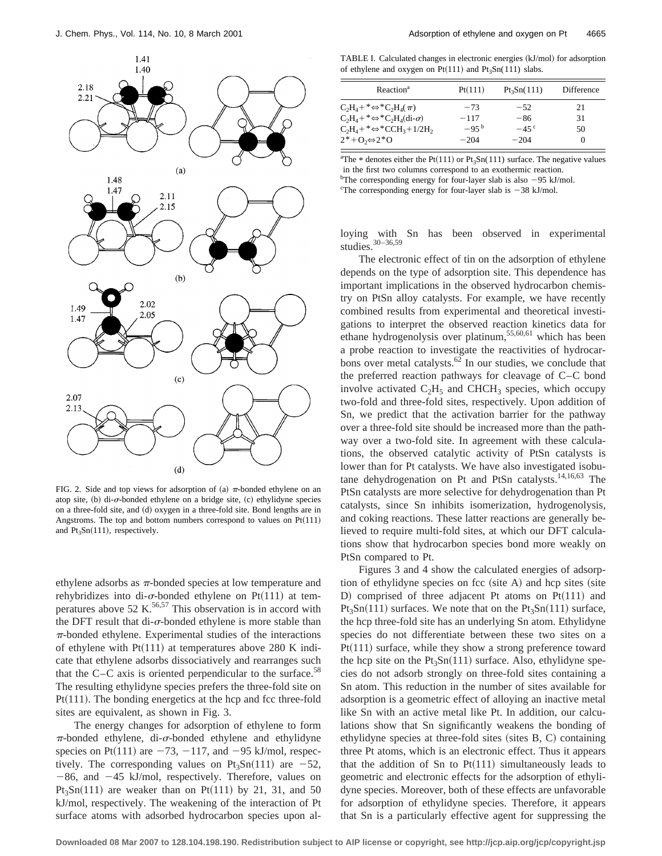

FIG. 2. Side and top views for adsorption of (a)  $\pi$ -bonded ethylene on an atop site,  $(b)$  di- $\sigma$ -bonded ethylene on a bridge site,  $(c)$  ethylidyne species on a three-fold site, and (d) oxygen in a three-fold site. Bond lengths are in Angstroms. The top and bottom numbers correspond to values on  $Pt(111)$ and  $Pt_3Sn(111)$ , respectively.

ethylene adsorbs as  $\pi$ -bonded species at low temperature and rehybridizes into di- $\sigma$ -bonded ethylene on Pt(111) at temperatures above 52 K.<sup>56,57</sup> This observation is in accord with the DFT result that di- $\sigma$ -bonded ethylene is more stable than  $\pi$ -bonded ethylene. Experimental studies of the interactions of ethylene with  $Pt(111)$  at temperatures above 280 K indicate that ethylene adsorbs dissociatively and rearranges such that the C–C axis is oriented perpendicular to the surface.<sup>58</sup> The resulting ethylidyne species prefers the three-fold site on  $Pt(111)$ . The bonding energetics at the hcp and fcc three-fold sites are equivalent, as shown in Fig. 3.

The energy changes for adsorption of ethylene to form  $\pi$ -bonded ethylene, di- $\sigma$ -bonded ethylene and ethylidyne species on Pt $(111)$  are  $-73$ ,  $-117$ , and  $-95$  kJ/mol, respectively. The corresponding values on  $Pt<sub>3</sub>Sn(111)$  are  $-52$ ,  $-86$ , and  $-45$  kJ/mol, respectively. Therefore, values on Pt<sub>3</sub>Sn<sup> $(111)$ </sup> are weaker than on Pt $(111)$  by 21, 31, and 50 kJ/mol, respectively. The weakening of the interaction of Pt surface atoms with adsorbed hydrocarbon species upon al-

TABLE I. Calculated changes in electronic energies (kJ/mol) for adsorption of ethylene and oxygen on Pt(111) and Pt<sub>3</sub>Sn(111) slabs.

| Reaction <sup>a</sup>                                              | Pt(111)   | $Pt_3Sn(111)$ | Difference |
|--------------------------------------------------------------------|-----------|---------------|------------|
| $C_2H_4$ +* $\Leftrightarrow$ * $C_2H_4(\pi)$                      | $-73$     | $-52$         | 21         |
| $C_2H_4 + * \Leftrightarrow *C_2H_4$ (di- $\sigma$ )               | $-117$    | $-86$         | 31         |
| $C_2H_4$ +* $\Leftrightarrow$ *CCH <sub>3</sub> +1/2H <sub>2</sub> | $-95^{b}$ | $-45^{\circ}$ | 50         |
| $2^*+O_2 \Leftrightarrow 2^*O$                                     | $-204$    | $-204$        | $\theta$   |

<sup>a</sup>The \* denotes either the Pt(111) or Pt<sub>3</sub>Sn(111) surface. The negative values in the first two columns correspond to an exothermic reaction. <sup>b</sup>The corresponding energy for four-layer slab is also  $-95$  kJ/mol.

<sup>c</sup>The corresponding energy for four-layer slab is  $-38$  kJ/mol.

loying with Sn has been observed in experimental studies.30–36,59

The electronic effect of tin on the adsorption of ethylene depends on the type of adsorption site. This dependence has important implications in the observed hydrocarbon chemistry on PtSn alloy catalysts. For example, we have recently combined results from experimental and theoretical investigations to interpret the observed reaction kinetics data for ethane hydrogenolysis over platinum,<sup>55,60,61</sup> which has been a probe reaction to investigate the reactivities of hydrocarbons over metal catalysts.62 In our studies, we conclude that the preferred reaction pathways for cleavage of C–C bond involve activated  $C_2H_5$  and CHCH<sub>3</sub> species, which occupy two-fold and three-fold sites, respectively. Upon addition of Sn, we predict that the activation barrier for the pathway over a three-fold site should be increased more than the pathway over a two-fold site. In agreement with these calculations, the observed catalytic activity of PtSn catalysts is lower than for Pt catalysts. We have also investigated isobutane dehydrogenation on Pt and PtSn catalysts.<sup>14,16,63</sup> The PtSn catalysts are more selective for dehydrogenation than Pt catalysts, since Sn inhibits isomerization, hydrogenolysis, and coking reactions. These latter reactions are generally believed to require multi-fold sites, at which our DFT calculations show that hydrocarbon species bond more weakly on PtSn compared to Pt.

Figures 3 and 4 show the calculated energies of adsorption of ethylidyne species on fcc (site  $A$ ) and hcp sites (site D) comprised of three adjacent Pt atoms on  $Pt(111)$  and  $Pt_3Sn(111)$  surfaces. We note that on the  $Pt_3Sn(111)$  surface, the hcp three-fold site has an underlying Sn atom. Ethylidyne species do not differentiate between these two sites on a  $Pt(111)$  surface, while they show a strong preference toward the hcp site on the  $Pt_3Sn(111)$  surface. Also, ethylidyne species do not adsorb strongly on three-fold sites containing a Sn atom. This reduction in the number of sites available for adsorption is a geometric effect of alloying an inactive metal like Sn with an active metal like Pt. In addition, our calculations show that Sn significantly weakens the bonding of ethylidyne species at three-fold sites (sites  $B, C$ ) containing three Pt atoms, which is an electronic effect. Thus it appears that the addition of Sn to  $Pt(111)$  simultaneously leads to geometric and electronic effects for the adsorption of ethylidyne species. Moreover, both of these effects are unfavorable for adsorption of ethylidyne species. Therefore, it appears that Sn is a particularly effective agent for suppressing the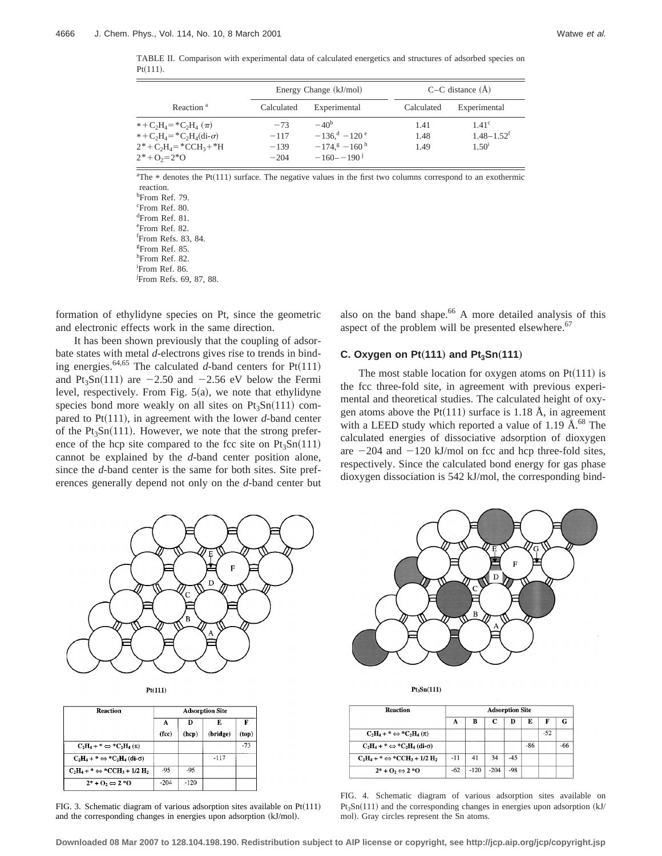TABLE II. Comparison with experimental data of calculated energetics and structures of adsorbed species on  $Pt(111)$ .

|                                                                                                                                            |            | Energy Change (kJ/mol)     | $C-C$ distance $(A)$ |                            |  |  |
|--------------------------------------------------------------------------------------------------------------------------------------------|------------|----------------------------|----------------------|----------------------------|--|--|
| Reaction <sup>a</sup>                                                                                                                      | Calculated | Experimental               | Calculated           | Experimental               |  |  |
| $* + C_2H_4 = *C_2H_4(\pi)$                                                                                                                | $-73$      | $-40b$                     | 1.41                 | 1.41 <sup>c</sup>          |  |  |
| $* + C_2H_4 = *C_2H_4(\text{di-}\sigma)$                                                                                                   | $-117$     | $-136^{d} - 120^{e}$       | 1.48                 | $1.48 - 1.52$ <sup>f</sup> |  |  |
| $2^* + C_2H_4 = ^*CCH_3 + ^*H$                                                                                                             | $-139$     | $-174$ , $8-160$ h         | 1.49                 | 1.50 <sup>1</sup>          |  |  |
| $2^*$ + O <sub>2</sub> = $2^*$ O                                                                                                           | $-204$     | $-160 - -190$ <sup>j</sup> |                      |                            |  |  |
| ${}^{\text{a}}$ The $*$ denotes the Pt(111) surface. The negative values in the first two columns correspond to an exothermic<br>reaction. |            |                            |                      |                            |  |  |
| <sup>b</sup> From Ref. 79.                                                                                                                 |            |                            |                      |                            |  |  |
| <sup>c</sup> From Ref. 80.                                                                                                                 |            |                            |                      |                            |  |  |
| $d_{\Gamma}$ n c os                                                                                                                        |            |                            |                      |                            |  |  |

d From Ref. 81. e From Ref. 82. f From Refs. 83, 84. g From Ref. 85. h From Ref. 82. i From Ref. 86.

j From Refs. 69, 87, 88.

formation of ethylidyne species on Pt, since the geometric and electronic effects work in the same direction.

It has been shown previously that the coupling of adsorbate states with metal *d*-electrons gives rise to trends in binding energies.<sup>64,65</sup> The calculated *d*-band centers for  $Pt(111)$ and Pt<sub>3</sub>Sn(111) are  $-2.50$  and  $-2.56$  eV below the Fermi level, respectively. From Fig.  $5(a)$ , we note that ethylidyne species bond more weakly on all sites on  $Pt<sub>3</sub>Sn(111)$  compared to  $Pt(111)$ , in agreement with the lower *d*-band center of the  $Pt_3Sn(111)$ . However, we note that the strong preference of the hcp site compared to the fcc site on  $Pt_3Sn(111)$ cannot be explained by the *d*-band center position alone, since the *d*-band center is the same for both sites. Site preferences generally depend not only on the *d*-band center but also on the band shape.<sup>66</sup> A more detailed analysis of this aspect of the problem will be presented elsewhere. $67$ 

## **C. Oxygen on Pt** $(111)$  and Pt<sub>3</sub>Sn $(111)$

The most stable location for oxygen atoms on  $Pt(111)$  is the fcc three-fold site, in agreement with previous experimental and theoretical studies. The calculated height of oxygen atoms above the Pt $(111)$  surface is 1.18 Å, in agreement with a LEED study which reported a value of 1.19  $\AA$ .<sup>68</sup> The calculated energies of dissociative adsorption of dioxygen are  $-204$  and  $-120$  kJ/mol on fcc and hcp three-fold sites, respectively. Since the calculated bond energy for gas phase dioxygen dissociation is 542 kJ/mol, the corresponding bind-



| 11 H |  |
|------|--|
|      |  |

| Reaction                                     | <b>Adsorption Site</b> |        |          |       |  |  |  |
|----------------------------------------------|------------------------|--------|----------|-------|--|--|--|
|                                              | А                      | Ð      | E        | F     |  |  |  |
|                                              | (fcc)                  | (hcp)  | (bridge) | (top) |  |  |  |
| $C_2H_4 +^* \Leftrightarrow ^*C_2H_4(\pi)$   |                        |        |          | $-73$ |  |  |  |
| $C_2H_4 + * \Leftrightarrow *C_2H_4$ (di-o)  |                        |        | $-117$   |       |  |  |  |
| $C_2H_4 + * \Leftrightarrow *CCH_3 + 1/2H_2$ | -95                    | -95    |          |       |  |  |  |
| $2^*+0_2 \Leftrightarrow 2^*0$               | $-204$                 | $-120$ |          |       |  |  |  |

FIG. 3. Schematic diagram of various adsorption sites available on  $Pt(111)$ and the corresponding changes in energies upon adsorption  $(kJ/mol)$ .



 $Pt_3Sn(111)$ 

| <b>Reaction</b>                                           | <b>Adsorption Site</b> |        |        |       |     |       |     |
|-----------------------------------------------------------|------------------------|--------|--------|-------|-----|-------|-----|
|                                                           | А                      | в      | C      | Ð     | E   | F     | G   |
| $C_2H_4 +^* \Leftrightarrow ^*C_2H_4(\pi)$                |                        |        |        |       |     | $-52$ |     |
| $C_2H_4$ + * $\Leftrightarrow$ * $C_2H_4$ (di- $\sigma$ ) |                        |        |        |       | -86 |       | -66 |
| $C_2H_4 + * \Leftrightarrow *CCH_3 + 1/2H_2$              | $-11$                  | 41     | 34     | $-45$ |     |       |     |
| $2^* + 0_2 \Leftrightarrow 2^*0$                          | $-62$                  | $-120$ | $-204$ | $-98$ |     |       |     |

FIG. 4. Schematic diagram of various adsorption sites available on  $Pt<sub>3</sub>Sn(111)$  and the corresponding changes in energies upon adsorption (kJ/ mol). Gray circles represent the Sn atoms.

**Downloaded 08 Mar 2007 to 128.104.198.190. Redistribution subject to AIP license or copyright, see http://jcp.aip.org/jcp/copyright.jsp**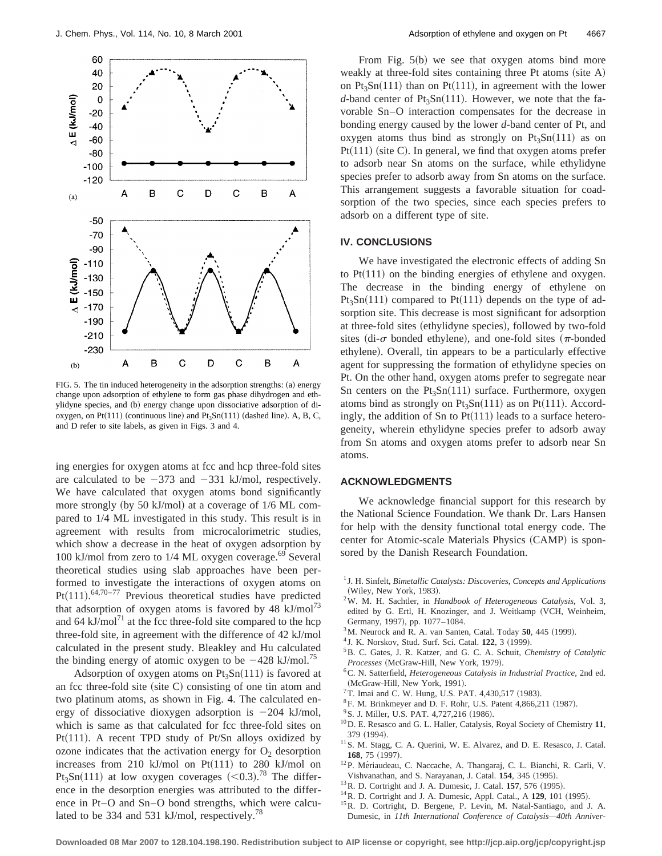

FIG. 5. The tin induced heterogeneity in the adsorption strengths: (a) energy change upon adsorption of ethylene to form gas phase dihydrogen and ethylidyne species, and (b) energy change upon dissociative adsorption of dioxygen, on Pt $(111)$  (continuous line) and Pt<sub>3</sub>Sn $(111)$  (dashed line). A, B, C, and D refer to site labels, as given in Figs. 3 and 4.

ing energies for oxygen atoms at fcc and hcp three-fold sites are calculated to be  $-373$  and  $-331$  kJ/mol, respectively. We have calculated that oxygen atoms bond significantly more strongly (by 50 kJ/mol) at a coverage of  $1/6$  ML compared to 1/4 ML investigated in this study. This result is in agreement with results from microcalorimetric studies, which show a decrease in the heat of oxygen adsorption by 100 kJ/mol from zero to  $1/4$  ML oxygen coverage.<sup>69</sup> Several theoretical studies using slab approaches have been performed to investigate the interactions of oxygen atoms on Pt $(111)$ .<sup>64,70–77</sup> Previous theoretical studies have predicted that adsorption of oxygen atoms is favored by 48  $kJ/mol^{73}$ and 64 kJ/mol<sup>71</sup> at the fcc three-fold site compared to the hcp three-fold site, in agreement with the difference of 42 kJ/mol calculated in the present study. Bleakley and Hu calculated the binding energy of atomic oxygen to be  $-428$  kJ/mol.<sup>75</sup>

Adsorption of oxygen atoms on  $Pt_3Sn(111)$  is favored at an fcc three-fold site (site  $C$ ) consisting of one tin atom and two platinum atoms, as shown in Fig. 4. The calculated energy of dissociative dioxygen adsorption is  $-204$  kJ/mol, which is same as that calculated for fcc three-fold sites on Pt $(111)$ . A recent TPD study of Pt/Sn alloys oxidized by ozone indicates that the activation energy for  $O_2$  desorption increases from 210 kJ/mol on  $Pt(111)$  to 280 kJ/mol on Pt<sub>3</sub>Sn(111) at low oxygen coverages  $(<0.3$ ).<sup>78</sup> The difference in the desorption energies was attributed to the difference in Pt–O and Sn–O bond strengths, which were calculated to be 334 and 531 kJ/mol, respectively.<sup>78</sup>

From Fig.  $5(b)$  we see that oxygen atoms bind more weakly at three-fold sites containing three Pt atoms  $(site A)$ on  $Pt<sub>3</sub>Sn(111)$  than on  $Pt(111)$ , in agreement with the lower *d*-band center of  $Pt_3Sn(111)$ . However, we note that the favorable Sn–O interaction compensates for the decrease in bonding energy caused by the lower *d*-band center of Pt, and oxygen atoms thus bind as strongly on  $Pt_3Sn(111)$  as on  $Pt(111)$  (site C). In general, we find that oxygen atoms prefer to adsorb near Sn atoms on the surface, while ethylidyne species prefer to adsorb away from Sn atoms on the surface. This arrangement suggests a favorable situation for coadsorption of the two species, since each species prefers to adsorb on a different type of site.

#### **IV. CONCLUSIONS**

We have investigated the electronic effects of adding Sn to  $Pt(111)$  on the binding energies of ethylene and oxygen. The decrease in the binding energy of ethylene on  $Pt_3Sn(111)$  compared to  $Pt(111)$  depends on the type of adsorption site. This decrease is most significant for adsorption at three-fold sites (ethylidyne species), followed by two-fold sites (di- $\sigma$  bonded ethylene), and one-fold sites ( $\pi$ -bonded ethylene). Overall, tin appears to be a particularly effective agent for suppressing the formation of ethylidyne species on Pt. On the other hand, oxygen atoms prefer to segregate near Sn centers on the  $Pt_3Sn(111)$  surface. Furthermore, oxygen atoms bind as strongly on  $Pt_3Sn(111)$  as on  $Pt(111)$ . Accordingly, the addition of Sn to  $Pt(111)$  leads to a surface heterogeneity, wherein ethylidyne species prefer to adsorb away from Sn atoms and oxygen atoms prefer to adsorb near Sn atoms.

#### **ACKNOWLEDGMENTS**

We acknowledge financial support for this research by the National Science Foundation. We thank Dr. Lars Hansen for help with the density functional total energy code. The center for Atomic-scale Materials Physics (CAMP) is sponsored by the Danish Research Foundation.

- <sup>1</sup> J. H. Sinfelt, *Bimetallic Catalysts: Discoveries, Concepts and Applications* (Wiley, New York, 1983).
- 2W. M. H. Sachtler, in *Handbook of Heterogeneous Catalysis*, Vol. 3, edited by G. Ertl, H. Knozinger, and J. Weitkamp (VCH, Weinheim, Germany, 1997), pp. 1077-1084.
- $3^3$ M. Neurock and R. A. van Santen, Catal. Today  $50$ , 445 (1999).
- <sup>4</sup> J. K. Norskov, Stud. Surf. Sci. Catal. **122**, 3 (1999).
- 5B. C. Gates, J. R. Katzer, and G. C. A. Schuit, *Chemistry of Catalytic*  $Processes$  (McGraw-Hill, New York, 1979).
- 6C. N. Satterfield, *Heterogeneous Catalysis in Industrial Practice*, 2nd ed. (McGraw-Hill, New York, 1991).
- $7$ T. Imai and C. W. Hung, U.S. PAT. 4,430,517 (1983).
- ${}^{8}$ F. M. Brinkmeyer and D. F. Rohr, U.S. Patent 4,866,211 (1987).
- $9^9$ S. J. Miller, U.S. PAT. 4,727,216 (1986).
- 10D. E. Resasco and G. L. Haller, Catalysis, Royal Society of Chemistry **11**, 379 (1994).
- <sup>11</sup> S. M. Stagg, C. A. Querini, W. E. Alvarez, and D. E. Resasco, J. Catal. 168, 75 (1997).
- <sup>12</sup>P. Mériaudeau, C. Naccache, A. Thangaraj, C. L. Bianchi, R. Carli, V. Vishvanathan, and S. Narayanan, J. Catal. **154**, 345 (1995).
- <sup>13</sup> R. D. Cortright and J. A. Dumesic, J. Catal. **157**, 576 (1995).
- <sup>14</sup>R. D. Cortright and J. A. Dumesic, Appl. Catal., A **129**, 101 (1995).
- 15R. D. Cortright, D. Bergene, P. Levin, M. Natal-Santiago, and J. A. Dumesic, in *11th International Conference of Catalysis—40th Anniver-*